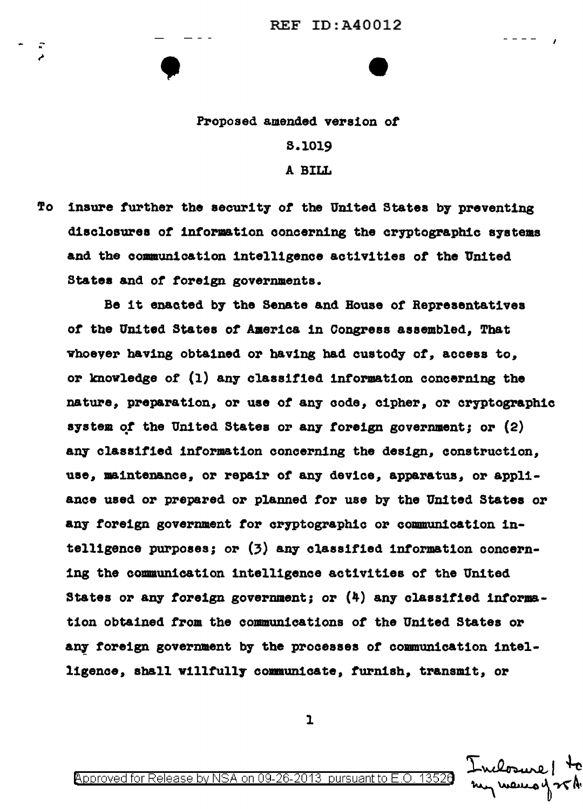## Proposed amended version *ot*

•<br>•<br>•

s.1019

A BILL

To insure further the security of the United States by preventing disclosures or information concerning the cryptographic systems and the communication intelligence activities *ot* the United States and or foreign governments.

Be it enacted by the Senate and House or Representatives of the United States of America in Congress assembled. That vhoever having obtained or having bad custody or, access to, or knowledge of (1) any classitied information concerning the nature, preparation, or use *ot* any code, cipher, or cryptographic aystem of the United States or any foreign government; or  $(2)$ any classified information concerning the design, construction, use, maintenance, or repair of any device, apparatus, or appliance used or prepared or planned tor use by the United States or any foreign government tor cryptographic or communication intelligence purposes; or (3) any classified information concerning the communication intelligence activities of the United States or any foreign government; or  $(4)$  any classified informat1on obtained from the communications *ot* the United States or &Df foreign government by the processes *ot* communication intelligence, shall willfully communicate, furnish, transmit, or

 $\mathbf{I}$ 

Inclosure! 4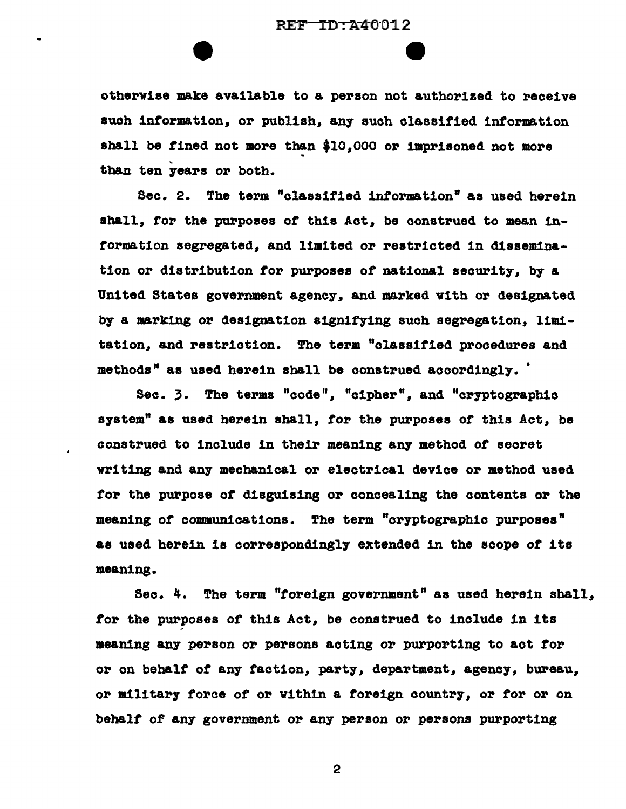e

otherw1ae make available to a person not authorized to receive such information, or publish, any such classified information shall be tined not more than \$10,000 or imprisoned not more tban ten years or both.

Sec. 2. The term "classified information" aa used herein shall, tor the purposes *ot* this Act, be construed to mean inrorma tion segregated, and limited or restricted in dissemination or distribution tor purposes of national security, by a United States government agency, and marked with or designated by a marking or designation signifying such segregation, limitation, and restriction. The term "classified procedures and methods" as used herein shall be construed accordingly.

Sec. 3. The terms "code", "cipher", and "cryptographic system" as used herein shall, tor the purposes of this Act, be construed to include in their meaning any method *ot* secret writing and any mechanical or electrical device or method used tor the purpose *ot* disguising or concealing the contents or the meaning of communications. The term "cryptographic purposes" as used herein is correspondingly extended in the scope *ot* its meaning.

Sec. 4. The term "toreign government" as used herein shall, tor the purposes of this Act, be construed to include in its meaning any person or persons acting or purporting to act tor or on behalf *ot* an7 faction, party, department, agency, bureau, or military torce of or within a toreign country, or tor or on behalf of any government or any person or persons purporting

2